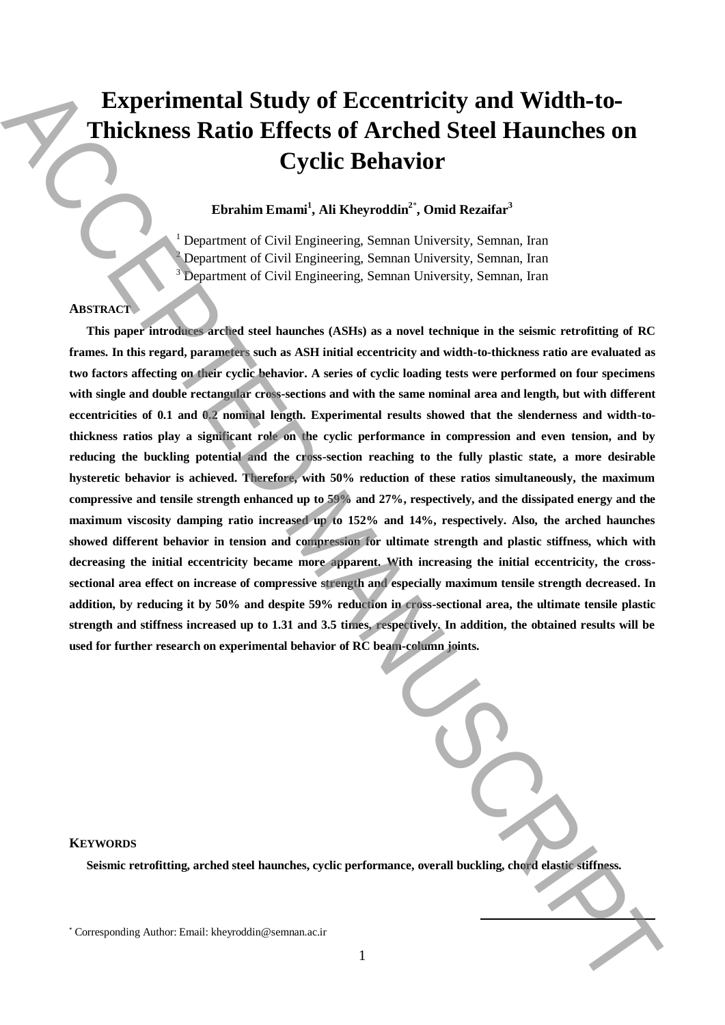# **Experimental Study of Eccentricity and Width-to-Thickness Ratio Effects of Arched Steel Haunches on Cyclic Behavior**

# **Ebrahim Emami<sup>1</sup> , Ali Kheyroddin<sup>2</sup>**\* **, Omid Rezaifar<sup>3</sup>**

<sup>1</sup> Department of Civil Engineering, Semnan University, Semnan, Iran <sup>2</sup> Department of Civil Engineering, Semnan University, Semnan, Iran <sup>3</sup> Department of Civil Engineering, Semnan University, Semnan, Iran

## **ABSTRACT**

**This paper introduces arched steel haunches (ASHs) as a novel technique in the seismic retrofitting of RC frames. In this regard, parameters such as ASH initial eccentricity and width-to-thickness ratio are evaluated as two factors affecting on their cyclic behavior. A series of cyclic loading tests were performed on four specimens with single and double rectangular cross-sections and with the same nominal area and length, but with different eccentricities of 0.1 and 0.2 nominal length. Experimental results showed that the slenderness and width-tothickness ratios play a significant role on the cyclic performance in compression and even tension, and by reducing the buckling potential and the cross-section reaching to the fully plastic state, a more desirable hysteretic behavior is achieved. Therefore, with 50% reduction of these ratios simultaneously, the maximum compressive and tensile strength enhanced up to 59% and 27%, respectively, and the dissipated energy and the maximum viscosity damping ratio increased up to 152% and 14%, respectively. Also, the arched haunches showed different behavior in tension and compression for ultimate strength and plastic stiffness, which with decreasing the initial eccentricity became more apparent. With increasing the initial eccentricity, the crosssectional area effect on increase of compressive strength and especially maximum tensile strength decreased. In addition, by reducing it by 50% and despite 59% reduction in cross-sectional area, the ultimate tensile plastic strength and stiffness increased up to 1.31 and 3.5 times, respectively. In addition, the obtained results will be used for further research on experimental behavior of RC beam-column joints.** Experimental Study of Eccentricity and Width-to-<br>Thickness Ratio Effects of Arched Steel Haunches on<br>Cyclic Behavior Corresponding Authorities Considered Final and the stress of the stress of the corresponding  $\alpha$ .<br>
The

| ance, overall buckling, chord elastic stiff |
|---------------------------------------------|

**.** 

## **KEYWORDS**

**Seismic retrofitting, arched steel haunches, cyclic performance, overall buckling, chord elastic stiffness.**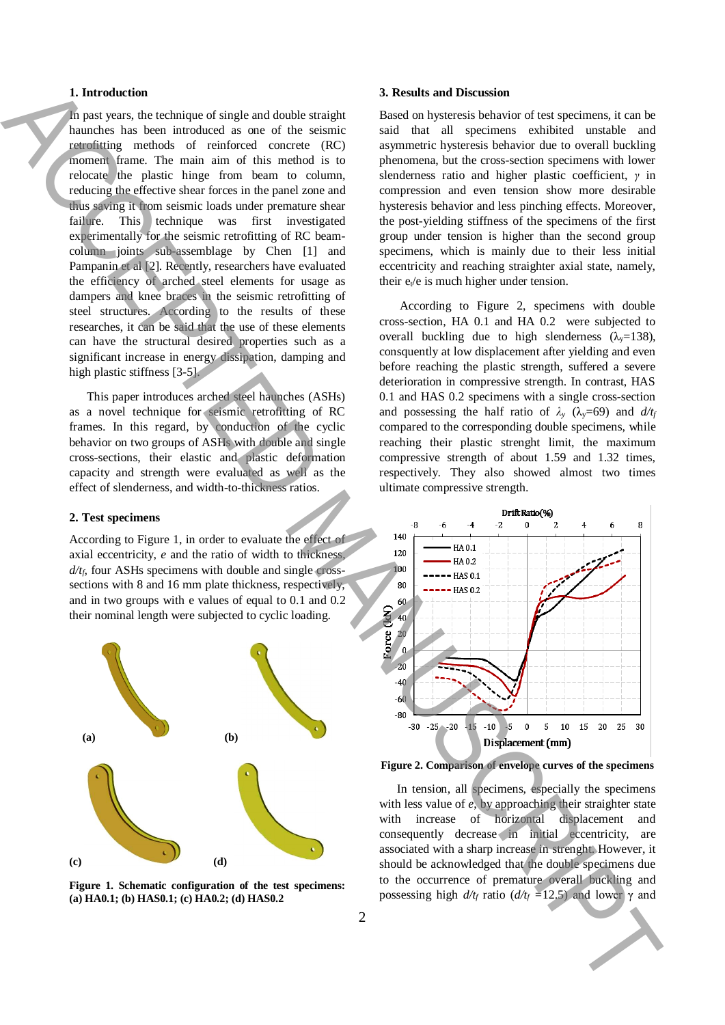## **1. Introduction**

In past years, the technique of single and double straight haunches has been introduced as one of the seismic retrofitting methods of reinforced concrete (RC) moment frame. The main aim of this method is to relocate the plastic hinge from beam to column, reducing the effective shear forces in the panel zone and thus saving it from seismic loads under premature shear failure. This technique was first investigated experimentally for the seismic retrofitting of RC beamcolumn joints sub-assemblage by Chen [1] and Pampanin et al [2]. Recently, researchers have evaluated the efficiency of arched steel elements for usage as dampers and knee braces in the seismic retrofitting of steel structures. According to the results of these researches, it can be said that the use of these elements can have the structural desired properties such as a significant increase in energy dissipation, damping and high plastic stiffness [3-5]. **1.** Entropic is the change of the change of the transfer of the external time of the control of the change of the change of the change of the change of the change of the change of the change of the change of the change

This paper introduces arched steel haunches (ASHs) as a novel technique for seismic retrofitting of RC frames. In this regard, by conduction of the cyclic behavior on two groups of ASHs with double and single cross-sections, their elastic and plastic deformation capacity and strength were evaluated as well as the effect of slenderness, and width-to-thickness ratios.

#### **2. Test specimens**

According to Figure 1, in order to evaluate the effect of axial eccentricity, *e* and the ratio of width to thickness, *d/tf*, four ASHs specimens with double and single crosssections with 8 and 16 mm plate thickness, respectively, and in two groups with e values of equal to 0.1 and 0.2 their nominal length were subjected to cyclic loading.



**Figure 1. Schematic configuration of the test specimens: (a) HA0.1; (b) HAS0.1; (c) HA0.2; (d) HAS0.2**

#### **3. Results and Discussion**

Based on hysteresis behavior of test specimens, it can be said that all specimens exhibited unstable and asymmetric hysteresis behavior due to overall buckling phenomena, but the cross-section specimens with lower slenderness ratio and higher plastic coefficient, *γ* in compression and even tension show more desirable hysteresis behavior and less pinching effects. Moreover, the post-yielding stiffness of the specimens of the first group under tension is higher than the second group specimens, which is mainly due to their less initial eccentricity and reaching straighter axial state, namely, their  $e_t/e$  is much higher under tension.

According to Figure 2, specimens with double cross-section, HA 0.1 and HA 0.2 were subjected to overall buckling due to high slenderness  $(\lambda_{\rm v}=138)$ , consquently at low displacement after yielding and even before reaching the plastic strength, suffered a severe deterioration in compressive strength. In contrast, HAS 0.1 and HAS 0.2 specimens with a single cross-section and possessing the half ratio of  $\lambda$ <sup>*y*</sup> ( $\lambda$ <sub>*y*</sub>=69) and *d*/*t*<sub>*f*</sub> compared to the corresponding double specimens, while reaching their plastic strenght limit, the maximum compressive strength of about 1.59 and 1.32 times, respectively. They also showed almost two times ultimate compressive strength.



**Figure 2. Comparison of envelope curves of the specimens**

In tension, all specimens, especially the specimens with less value of *e*, by approaching their straighter state with increase of horizontal displacement and consequently decrease in initial eccentricity, are associated with a sharp increase in strenght. However, it should be acknowledged that the double specimens due to the occurrence of premature overall buckling and